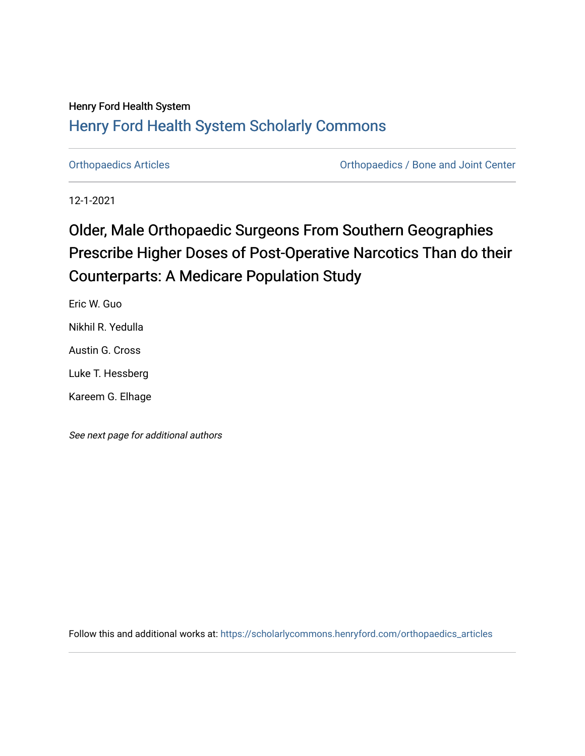### Henry Ford Health System [Henry Ford Health System Scholarly Commons](https://scholarlycommons.henryford.com/)

[Orthopaedics Articles](https://scholarlycommons.henryford.com/orthopaedics_articles) [Orthopaedics / Bone and Joint Center](https://scholarlycommons.henryford.com/orthopaedics) 

12-1-2021

# Older, Male Orthopaedic Surgeons From Southern Geographies Prescribe Higher Doses of Post-Operative Narcotics Than do their Counterparts: A Medicare Population Study

Eric W. Guo Nikhil R. Yedulla Austin G. Cross Luke T. Hessberg Kareem G. Elhage

See next page for additional authors

Follow this and additional works at: [https://scholarlycommons.henryford.com/orthopaedics\\_articles](https://scholarlycommons.henryford.com/orthopaedics_articles?utm_source=scholarlycommons.henryford.com%2Forthopaedics_articles%2F379&utm_medium=PDF&utm_campaign=PDFCoverPages)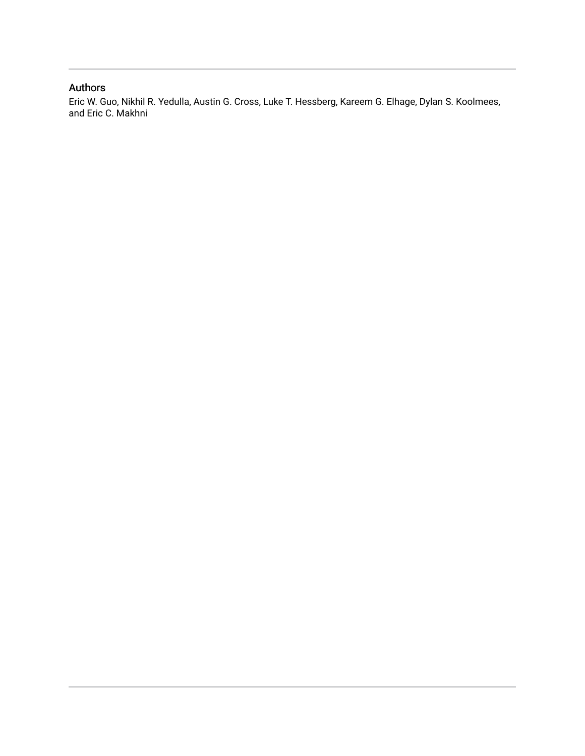### Authors

Eric W. Guo, Nikhil R. Yedulla, Austin G. Cross, Luke T. Hessberg, Kareem G. Elhage, Dylan S. Koolmees, and Eric C. Makhni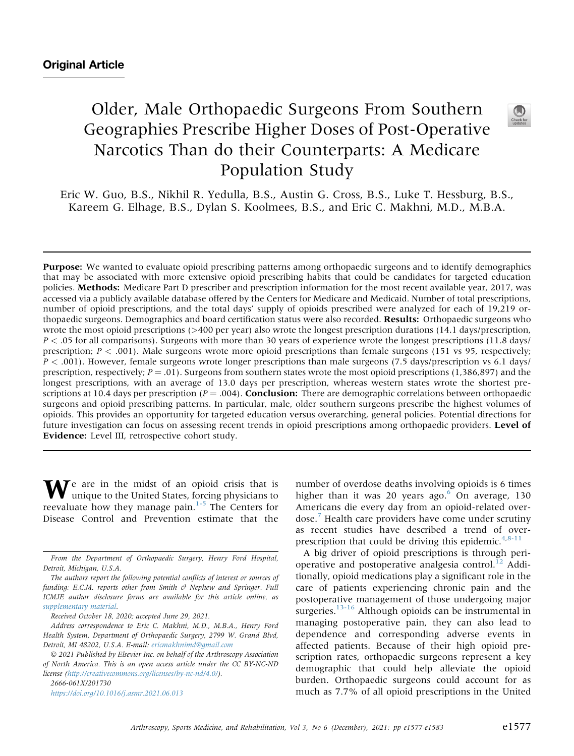## Older, Male Orthopaedic Surgeons From Southern Geographies Prescribe Higher Doses of Post-Operative Narcotics Than do their Counterparts: A Medicare Population Study



Eric W. Guo, B.S., Nikhil R. Yedulla, B.S., Austin G. Cross, B.S., Luke T. Hessburg, B.S., Kareem G. Elhage, B.S., Dylan S. Koolmees, B.S., and Eric C. Makhni, M.D., M.B.A.

Purpose: We wanted to evaluate opioid prescribing patterns among orthopaedic surgeons and to identify demographics that may be associated with more extensive opioid prescribing habits that could be candidates for targeted education policies. Methods: Medicare Part D prescriber and prescription information for the most recent available year, 2017, was accessed via a publicly available database offered by the Centers for Medicare and Medicaid. Number of total prescriptions, number of opioid prescriptions, and the total days' supply of opioids prescribed were analyzed for each of 19,219 orthopaedic surgeons. Demographics and board certification status were also recorded. Results: Orthopaedic surgeons who wrote the most opioid prescriptions (>400 per year) also wrote the longest prescription durations (14.1 days/prescription,  $P < .05$  for all comparisons). Surgeons with more than 30 years of experience wrote the longest prescriptions (11.8 days/ prescription;  $P < .001$ ). Male surgeons wrote more opioid prescriptions than female surgeons (151 vs 95, respectively;  $P < .001$ ). However, female surgeons wrote longer prescriptions than male surgeons (7.5 days/prescription vs 6.1 days/ prescription, respectively;  $P = .01$ ). Surgeons from southern states wrote the most opioid prescriptions (1,386,897) and the longest prescriptions, with an average of 13.0 days per prescription, whereas western states wrote the shortest prescriptions at 10.4 days per prescription ( $P = .004$ ). **Conclusion:** There are demographic correlations between orthopaedic surgeons and opioid prescribing patterns. In particular, male, older southern surgeons prescribe the highest volumes of opioids. This provides an opportunity for targeted education versus overarching, general policies. Potential directions for future investigation can focus on assessing recent trends in opioid prescriptions among orthopaedic providers. Level of Evidence: Level III, retrospective cohort study.

 $\mathbf{W}^{\text{e}}$  are in the midst of an opioid crisis that is unique to the United States, forcing physicians to reevaluate how they manage pain. $1-5$  The Centers for Disease Control and Prevention estimate that the

 2021 Published by Elsevier Inc. on behalf of the Arthroscopy Association of North America. This is an open access article under the CC BY-NC-ND license (<http://creativecommons.org/licenses/by-nc-nd/4.0/>).

2666-061X/201730

<https://doi.org/10.1016/j.asmr.2021.06.013>

number of overdose deaths involving opioids is 6 times higher than it was 20 years ago. $6$  On average, 130 Americans die every day from an opioid-related overdose.[7](#page-7-2) Health care providers have come under scrutiny as recent studies have described a trend of over-prescription that could be driving this epidemic.<sup>[4](#page-7-3)[,8-11](#page-7-4)</sup>

A big driver of opioid prescriptions is through peri-operative and postoperative analgesia control.<sup>[12](#page-7-5)</sup> Additionally, opioid medications play a significant role in the care of patients experiencing chronic pain and the postoperative management of those undergoing major surgeries. $13-16$  Although opioids can be instrumental in managing postoperative pain, they can also lead to dependence and corresponding adverse events in affected patients. Because of their high opioid prescription rates, orthopaedic surgeons represent a key demographic that could help alleviate the opioid burden. Orthopaedic surgeons could account for as much as 7.7% of all opioid prescriptions in the United

From the Department of Orthopaedic Surgery, Henry Ford Hospital, Detroit, Michigan, U.S.A.

The authors report the following potential conflicts of interest or sources of funding: E.C.M. reports other from Smith  $\Theta$  Nephew and Springer. Full ICMJE author disclosure forms are available for this article online, as supplementary material.

Received October 18, 2020; accepted June 29, 2021.

Address correspondence to Eric C. Makhni, M.D., M.B.A., Henry Ford Health System, Department of Orthopaedic Surgery, 2799 W. Grand Blvd, Detroit, MI 48202, U.S.A. E-mail: [ericmakhnimd@gmail.com](mailto:ericmakhnimd@gmail.com)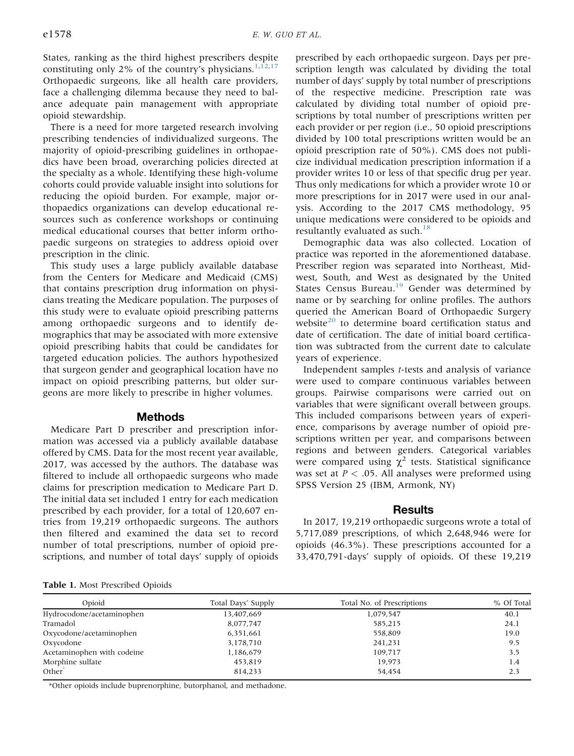States, ranking as the third highest prescribers despite constituting only 2% of the country's physicians.<sup>[1](#page-7-0)[,12,](#page-7-5)[17](#page-7-7)</sup> Orthopaedic surgeons, like all health care providers, face a challenging dilemma because they need to balance adequate pain management with appropriate opioid stewardship.

There is a need for more targeted research involving prescribing tendencies of individualized surgeons. The majority of opioid-prescribing guidelines in orthopaedics have been broad, overarching policies directed at the specialty as a whole. Identifying these high-volume cohorts could provide valuable insight into solutions for reducing the opioid burden. For example, major orthopaedics organizations can develop educational resources such as conference workshops or continuing medical educational courses that better inform orthopaedic surgeons on strategies to address opioid over prescription in the clinic.

This study uses a large publicly available database from the Centers for Medicare and Medicaid (CMS) that contains prescription drug information on physicians treating the Medicare population. The purposes of this study were to evaluate opioid prescribing patterns among orthopaedic surgeons and to identify demographics that may be associated with more extensive opioid prescribing habits that could be candidates for targeted education policies. The authors hypothesized that surgeon gender and geographical location have no impact on opioid prescribing patterns, but older surgeons are more likely to prescribe in higher volumes.

#### Methods

Medicare Part D prescriber and prescription information was accessed via a publicly available database offered by CMS. Data for the most recent year available, 2017, was accessed by the authors. The database was filtered to include all orthopaedic surgeons who made claims for prescription medication to Medicare Part D. The initial data set included 1 entry for each medication prescribed by each provider, for a total of 120,607 entries from 19,219 orthopaedic surgeons. The authors then filtered and examined the data set to record number of total prescriptions, number of opioid prescriptions, and number of total days' supply of opioids

prescribed by each orthopaedic surgeon. Days per prescription length was calculated by dividing the total number of days' supply by total number of prescriptions of the respective medicine. Prescription rate was calculated by dividing total number of opioid prescriptions by total number of prescriptions written per each provider or per region (i.e., 50 opioid prescriptions divided by 100 total prescriptions written would be an opioid prescription rate of 50%). CMS does not publicize individual medication prescription information if a provider writes 10 or less of that specific drug per year. Thus only medications for which a provider wrote 10 or more prescriptions for in 2017 were used in our analysis. According to the 2017 CMS methodology, 95 unique medications were considered to be opioids and resultantly evaluated as such.<sup>[18](#page-7-8)</sup>

Demographic data was also collected. Location of practice was reported in the aforementioned database. Prescriber region was separated into Northeast, Midwest, South, and West as designated by the United States Census Bureau.<sup>19</sup> Gender was determined by name or by searching for online profiles. The authors queried the American Board of Orthopaedic Surgery website $^{20}$  $^{20}$  $^{20}$  to determine board certification status and date of certification. The date of initial board certification was subtracted from the current date to calculate years of experience.

Independent samples t-tests and analysis of variance were used to compare continuous variables between groups. Pairwise comparisons were carried out on variables that were significant overall between groups. This included comparisons between years of experience, comparisons by average number of opioid prescriptions written per year, and comparisons between regions and between genders. Categorical variables were compared using  $\chi^2$  tests. Statistical significance was set at  $P < .05$ . All analyses were preformed using SPSS Version 25 (IBM, Armonk, NY)

#### **Results**

In 2017, 19,219 orthopaedic surgeons wrote a total of 5,717,089 prescriptions, of which 2,648,946 were for opioids (46.3%). These prescriptions accounted for a 33,470,791-days' supply of opioids. Of these 19,219

<span id="page-3-0"></span>Table 1. Most Prescribed Opioids

| Opioid                     | Total Days' Supply | Total No. of Prescriptions | % Of Total |
|----------------------------|--------------------|----------------------------|------------|
| Hydrocodone/acetaminophen  | 13,407,669         | 1,079,547                  | 40.1       |
| Tramadol                   | 8,077,747          | 585,215                    | 24.1       |
| Oxycodone/acetaminophen    | 6,351,661          | 558,809                    | 19.0       |
| Oxycodone                  | 3,178,710          | 241,231                    | 9.5        |
| Acetaminophen with codeine | 1,186,679          | 109.717                    | 3.5        |
| Morphine sulfate           | 453.819            | 19.973                     | 1.4        |
| Other <sup>®</sup>         | 814,233            | 54.454                     | 2.3        |

\*Other opioids include buprenorphine, butorphanol, and methadone.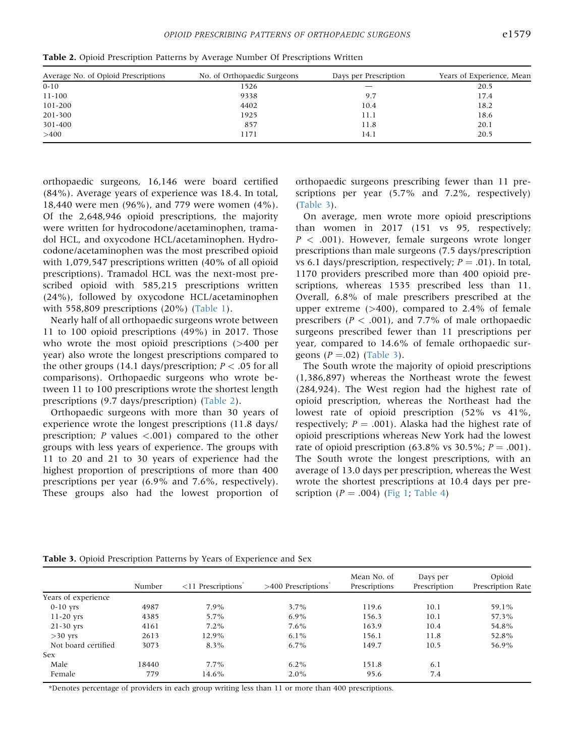| Average No. of Opioid Prescriptions | No. of Orthopaedic Surgeons | Days per Prescription | Years of Experience, Mean |
|-------------------------------------|-----------------------------|-----------------------|---------------------------|
| $0 - 10$                            | 1526                        |                       | 20.5                      |
| 11-100                              | 9338                        | 9.7                   | 17.4                      |
| 101-200                             | 4402                        | 10.4                  | 18.2                      |
| 201-300                             | 1925                        | 11.1                  | 18.6                      |
| 301-400                             | 857                         | 11.8                  | 20.1                      |
| >400                                | 171                         | 14.1                  | 20.5                      |

<span id="page-4-0"></span>Table 2. Opioid Prescription Patterns by Average Number Of Prescriptions Written

orthopaedic surgeons, 16,146 were board certified (84%). Average years of experience was 18.4. In total, 18,440 were men (96%), and 779 were women (4%). Of the 2,648,946 opioid prescriptions, the majority were written for hydrocodone/acetaminophen, tramadol HCL, and oxycodone HCL/acetaminophen. Hydrocodone/acetaminophen was the most prescribed opioid with 1,079,547 prescriptions written (40% of all opioid prescriptions). Tramadol HCL was the next-most prescribed opioid with 585,215 prescriptions written (24%), followed by oxycodone HCL/acetaminophen with 558,809 prescriptions (20%) ([Table 1](#page-3-0)).

Nearly half of all orthopaedic surgeons wrote between 11 to 100 opioid prescriptions (49%) in 2017. Those who wrote the most opioid prescriptions (>400 per year) also wrote the longest prescriptions compared to the other groups (14.1 days/prescription;  $P < .05$  for all comparisons). Orthopaedic surgeons who wrote between 11 to 100 prescriptions wrote the shortest length prescriptions (9.7 days/prescription) [\(Table 2](#page-4-0)).

Orthopaedic surgeons with more than 30 years of experience wrote the longest prescriptions (11.8 days/ prescription;  $P$  values  $\langle .001 \rangle$  compared to the other groups with less years of experience. The groups with 11 to 20 and 21 to 30 years of experience had the highest proportion of prescriptions of more than 400 prescriptions per year (6.9% and 7.6%, respectively). These groups also had the lowest proportion of orthopaedic surgeons prescribing fewer than 11 prescriptions per year (5.7% and 7.2%, respectively) ([Table 3](#page-4-1)).

On average, men wrote more opioid prescriptions than women in 2017 (151 vs 95, respectively;  $P < .001$ ). However, female surgeons wrote longer prescriptions than male surgeons (7.5 days/prescription vs 6.1 days/prescription, respectively;  $P = .01$ ). In total, 1170 providers prescribed more than 400 opioid prescriptions, whereas 1535 prescribed less than 11. Overall, 6.8% of male prescribers prescribed at the upper extreme  $(>400)$ , compared to 2.4% of female prescribers ( $P < .001$ ), and 7.7% of male orthopaedic surgeons prescribed fewer than 11 prescriptions per year, compared to 14.6% of female orthopaedic surgeons  $(P=.02)$  ([Table 3\)](#page-4-1).

The South wrote the majority of opioid prescriptions (1,386,897) whereas the Northeast wrote the fewest (284,924). The West region had the highest rate of opioid prescription, whereas the Northeast had the lowest rate of opioid prescription (52% vs 41%, respectively;  $P = .001$ ). Alaska had the highest rate of opioid prescriptions whereas New York had the lowest rate of opioid prescription (63.8% vs 30.5%;  $P = .001$ ). The South wrote the longest prescriptions, with an average of 13.0 days per prescription, whereas the West wrote the shortest prescriptions at 10.4 days per prescription  $(P = .004)$  ([Fig 1;](#page-5-0) [Table 4](#page-5-1))

|                     | Number | $\langle 11$ Prescriptions | $>400$ Prescriptions | Mean No. of<br>Prescriptions | Days per<br>Prescription | Opioid<br>Prescription Rate |
|---------------------|--------|----------------------------|----------------------|------------------------------|--------------------------|-----------------------------|
| Years of experience |        |                            |                      |                              |                          |                             |
| $0-10$ yrs          | 4987   | 7.9%                       | $3.7\%$              | 119.6                        | 10.1                     | 59.1%                       |
| $11-20$ yrs         | 4385   | 5.7%                       | $6.9\%$              | 156.3                        | 10.1                     | 57.3%                       |
| $21-30$ yrs         | 4161   | $7.2\%$                    | $7.6\%$              | 163.9                        | 10.4                     | 54.8%                       |
| $>30$ yrs           | 2613   | 12.9%                      | $6.1\%$              | 156.1                        | 11.8                     | 52.8%                       |
| Not board certified | 3073   | 8.3%                       | $6.7\%$              | 149.7                        | 10.5                     | 56.9%                       |
| <b>Sex</b>          |        |                            |                      |                              |                          |                             |
| Male                | 18440  | $7.7\%$                    | $6.2\%$              | 151.8                        | 6.1                      |                             |
| Female              | 779    | 14.6%                      | $2.0\%$              | 95.6                         | 7.4                      |                             |

<span id="page-4-1"></span>Table 3. Opioid Prescription Patterns by Years of Experience and Sex

\*Denotes percentage of providers in each group writing less than 11 or more than 400 prescriptions.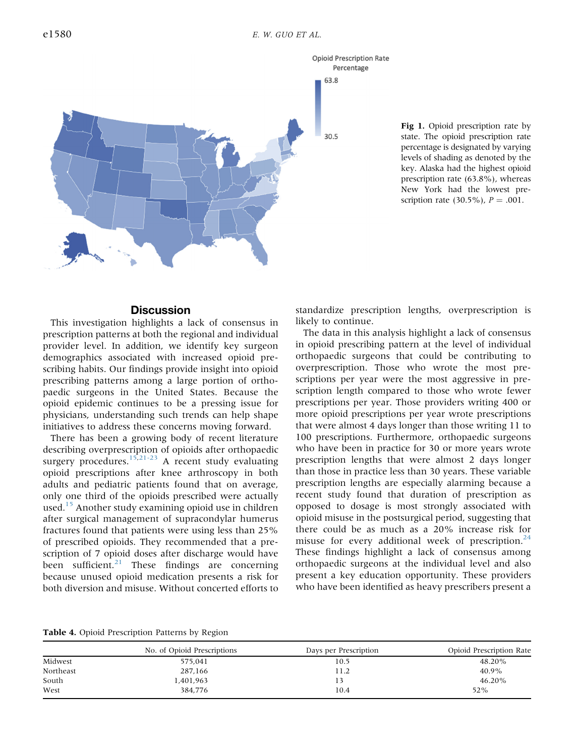<span id="page-5-0"></span>

Fig 1. Opioid prescription rate by state. The opioid prescription rate percentage is designated by varying levels of shading as denoted by the key. Alaska had the highest opioid prescription rate (63.8%), whereas New York had the lowest prescription rate (30.5%),  $P = .001$ .

#### **Discussion**

This investigation highlights a lack of consensus in prescription patterns at both the regional and individual provider level. In addition, we identify key surgeon demographics associated with increased opioid prescribing habits. Our findings provide insight into opioid prescribing patterns among a large portion of orthopaedic surgeons in the United States. Because the opioid epidemic continues to be a pressing issue for physicians, understanding such trends can help shape initiatives to address these concerns moving forward.

There has been a growing body of recent literature describing overprescription of opioids after orthopaedic surgery procedures.<sup>[15,](#page-7-11)[21-23](#page-7-12)</sup> A recent study evaluating opioid prescriptions after knee arthroscopy in both adults and pediatric patients found that on average, only one third of the opioids prescribed were actually used.<sup>[15](#page-7-11)</sup> Another study examining opioid use in children after surgical management of supracondylar humerus fractures found that patients were using less than 25% of prescribed opioids. They recommended that a prescription of 7 opioid doses after discharge would have been sufficient. $21$  These findings are concerning because unused opioid medication presents a risk for both diversion and misuse. Without concerted efforts to standardize prescription lengths, overprescription is likely to continue.

The data in this analysis highlight a lack of consensus in opioid prescribing pattern at the level of individual orthopaedic surgeons that could be contributing to overprescription. Those who wrote the most prescriptions per year were the most aggressive in prescription length compared to those who wrote fewer prescriptions per year. Those providers writing 400 or more opioid prescriptions per year wrote prescriptions that were almost 4 days longer than those writing 11 to 100 prescriptions. Furthermore, orthopaedic surgeons who have been in practice for 30 or more years wrote prescription lengths that were almost 2 days longer than those in practice less than 30 years. These variable prescription lengths are especially alarming because a recent study found that duration of prescription as opposed to dosage is most strongly associated with opioid misuse in the postsurgical period, suggesting that there could be as much as a 20% increase risk for misuse for every additional week of prescription. $24$ These findings highlight a lack of consensus among orthopaedic surgeons at the individual level and also present a key education opportunity. These providers who have been identified as heavy prescribers present a

<span id="page-5-1"></span>Table 4. Opioid Prescription Patterns by Region

|           | No. of Opioid Prescriptions | Days per Prescription | Opioid Prescription Rate |
|-----------|-----------------------------|-----------------------|--------------------------|
| Midwest   | 575,041                     | 10.5                  | 48.20%                   |
| Northeast | 287,166                     | 11.2                  | 40.9%                    |
| South     | 1,401,963                   | 13                    | 46.20%                   |
| West      | 384.776                     | 10.4                  | 52%                      |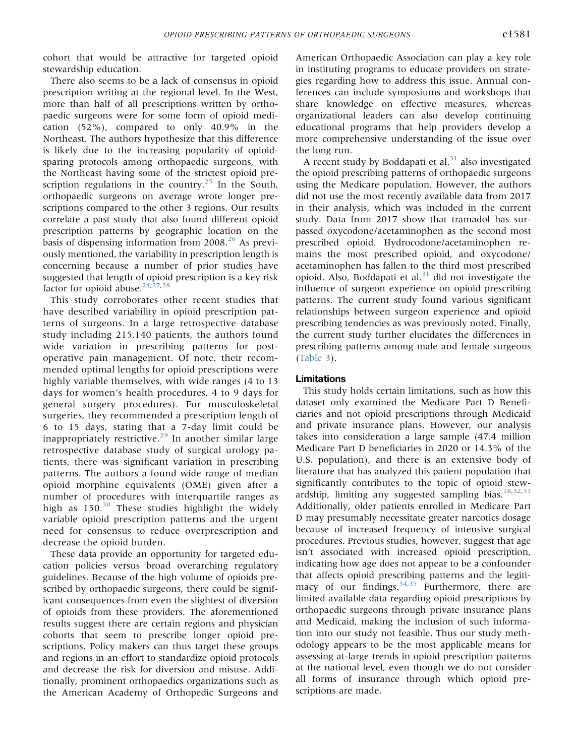cohort that would be attractive for targeted opioid stewardship education.

There also seems to be a lack of consensus in opioid prescription writing at the regional level. In the West, more than half of all prescriptions written by orthopaedic surgeons were for some form of opioid medication (52%), compared to only 40.9% in the Northeast. The authors hypothesize that this difference is likely due to the increasing popularity of opioidsparing protocols among orthopaedic surgeons, with the Northeast having some of the strictest opioid pre-scription regulations in the country.<sup>[25](#page-7-14)</sup> In the South, orthopaedic surgeons on average wrote longer prescriptions compared to the other 3 regions. Our results correlate a past study that also found different opioid prescription patterns by geographic location on the basis of dispensing information from  $2008.<sup>26</sup>$  $2008.<sup>26</sup>$  $2008.<sup>26</sup>$  As previously mentioned, the variability in prescription length is concerning because a number of prior studies have suggested that length of opioid prescription is a key risk factor for opioid abuse.<sup>[24](#page-7-13)[,27,](#page-8-0)[28](#page-8-1)</sup>

This study corroborates other recent studies that have described variability in opioid prescription patterns of surgeons. In a large retrospective database study including 215,140 patients, the authors found wide variation in prescribing patterns for postoperative pain management. Of note, their recommended optimal lengths for opioid prescriptions were highly variable themselves, with wide ranges (4 to 13 days for women's health procedures, 4 to 9 days for general surgery procedures). For musculoskeletal surgeries, they recommended a prescription length of 6 to 15 days, stating that a 7-day limit could be inappropriately restrictive.[29](#page-8-2) In another similar large retrospective database study of surgical urology patients, there was significant variation in prescribing patterns. The authors a found wide range of median opioid morphine equivalents (OME) given after a number of procedures with interquartile ranges as high as  $150^{30}$  $150^{30}$  $150^{30}$  These studies highlight the widely variable opioid prescription patterns and the urgent need for consensus to reduce overprescription and decrease the opioid burden.

These data provide an opportunity for targeted education policies versus broad overarching regulatory guidelines. Because of the high volume of opioids prescribed by orthopaedic surgeons, there could be significant consequences from even the slightest of diversion of opioids from these providers. The aforementioned results suggest there are certain regions and physician cohorts that seem to prescribe longer opioid prescriptions. Policy makers can thus target these groups and regions in an effort to standardize opioid protocols and decrease the risk for diversion and misuse. Additionally, prominent orthopaedics organizations such as the American Academy of Orthopedic Surgeons and

American Orthopaedic Association can play a key role in instituting programs to educate providers on strategies regarding how to address this issue. Annual conferences can include symposiums and workshops that share knowledge on effective measures, whereas organizational leaders can also develop continuing educational programs that help providers develop a more comprehensive understanding of the issue over the long run.

A recent study by Boddapati et al. $31$  also investigated the opioid prescribing patterns of orthopaedic surgeons using the Medicare population. However, the authors did not use the most recently available data from 2017 in their analysis, which was included in the current study. Data from 2017 show that tramadol has surpassed oxycodone/acetaminophen as the second most prescribed opioid. Hydrocodone/acetaminophen remains the most prescribed opioid, and oxycodone/ acetaminophen has fallen to the third most prescribed opioid. Also, Boddapati et al.<sup>[31](#page-8-4)</sup> did not investigate the influence of surgeon experience on opioid prescribing patterns. The current study found various significant relationships between surgeon experience and opioid prescribing tendencies as was previously noted. Finally, the current study further elucidates the differences in prescribing patterns among male and female surgeons ([Table 3](#page-4-1)).

#### Limitations

This study holds certain limitations, such as how this dataset only examined the Medicare Part D Beneficiaries and not opioid prescriptions through Medicaid and private insurance plans. However, our analysis takes into consideration a large sample (47.4 million Medicare Part D beneficiaries in 2020 or 14.3% of the U.S. population), and there is an extensive body of literature that has analyzed this patient population that significantly contributes to the topic of opioid stew-ardship, limiting any suggested sampling bias.<sup>[18,](#page-7-8)[32](#page-8-5)[,33](#page-8-6)</sup> Additionally, older patients enrolled in Medicare Part D may presumably necessitate greater narcotics dosage because of increased frequency of intensive surgical procedures. Previous studies, however, suggest that age isn't associated with increased opioid prescription, indicating how age does not appear to be a confounder that affects opioid prescribing patterns and the legitimacy of our findings.  $34,35$  $34,35$  Furthermore, there are limited available data regarding opioid prescriptions by orthopaedic surgeons through private insurance plans and Medicaid, making the inclusion of such information into our study not feasible. Thus our study methodology appears to be the most applicable means for assessing at-large trends in opioid prescription patterns at the national level, even though we do not consider all forms of insurance through which opioid prescriptions are made.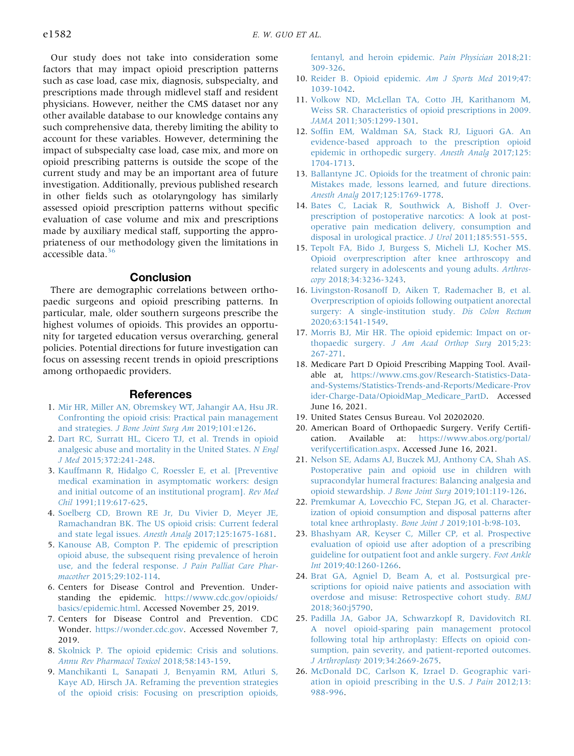Our study does not take into consideration some factors that may impact opioid prescription patterns such as case load, case mix, diagnosis, subspecialty, and prescriptions made through midlevel staff and resident physicians. However, neither the CMS dataset nor any other available database to our knowledge contains any such comprehensive data, thereby limiting the ability to account for these variables. However, determining the impact of subspecialty case load, case mix, and more on opioid prescribing patterns is outside the scope of the current study and may be an important area of future investigation. Additionally, previous published research in other fields such as otolaryngology has similarly assessed opioid prescription patterns without specific evaluation of case volume and mix and prescriptions made by auxiliary medical staff, supporting the appropriateness of our methodology given the limitations in accessible data.<sup>[36](#page-8-9)</sup>

#### **Conclusion**

There are demographic correlations between orthopaedic surgeons and opioid prescribing patterns. In particular, male, older southern surgeons prescribe the highest volumes of opioids. This provides an opportunity for targeted education versus overarching, general policies. Potential directions for future investigation can focus on assessing recent trends in opioid prescriptions among orthopaedic providers.

#### **References**

- <span id="page-7-0"></span>1. [Mir HR, Miller AN, Obremskey WT, Jahangir AA, Hsu JR.](http://refhub.elsevier.com/S2666-061X(21)00116-4/sref1) [Confronting the opioid crisis: Practical pain management](http://refhub.elsevier.com/S2666-061X(21)00116-4/sref1) and strategies. [J Bone Joint Surg Am](http://refhub.elsevier.com/S2666-061X(21)00116-4/sref1) 2019;101:e126.
- 2. [Dart RC, Surratt HL, Cicero TJ, et al. Trends in opioid](http://refhub.elsevier.com/S2666-061X(21)00116-4/sref2) [analgesic abuse and mortality in the United States.](http://refhub.elsevier.com/S2666-061X(21)00116-4/sref2) N Engl J Med [2015;372:241-248.](http://refhub.elsevier.com/S2666-061X(21)00116-4/sref2)
- 3. [Kauffmann R, Hidalgo C, Roessler E, et al. \[Preventive](http://refhub.elsevier.com/S2666-061X(21)00116-4/sref3) [medical examination in asymptomatic workers: design](http://refhub.elsevier.com/S2666-061X(21)00116-4/sref3) [and initial outcome of an institutional program\].](http://refhub.elsevier.com/S2666-061X(21)00116-4/sref3) Rev Med Chil [1991;119:617-625](http://refhub.elsevier.com/S2666-061X(21)00116-4/sref3).
- <span id="page-7-3"></span>4. [Soelberg CD, Brown RE Jr, Du Vivier D, Meyer JE,](http://refhub.elsevier.com/S2666-061X(21)00116-4/sref4) [Ramachandran BK. The US opioid crisis: Current federal](http://refhub.elsevier.com/S2666-061X(21)00116-4/sref4) [and state legal issues.](http://refhub.elsevier.com/S2666-061X(21)00116-4/sref4) Anesth Analg 2017;125:1675-1681.
- 5. [Kanouse AB, Compton P. The epidemic of prescription](http://refhub.elsevier.com/S2666-061X(21)00116-4/sref5) [opioid abuse, the subsequent rising prevalence of heroin](http://refhub.elsevier.com/S2666-061X(21)00116-4/sref5) [use, and the federal response.](http://refhub.elsevier.com/S2666-061X(21)00116-4/sref5) J Pain Palliat Care Pharmacother [2015;29:102-114](http://refhub.elsevier.com/S2666-061X(21)00116-4/sref5).
- <span id="page-7-1"></span>6. Centers for Disease Control and Prevention. Understanding the epidemic. [https://www.cdc.gov/opioids/](https://www.cdc.gov/opioids/basics/epidemic.html) [basics/epidemic.html.](https://www.cdc.gov/opioids/basics/epidemic.html) Accessed November 25, 2019.
- <span id="page-7-2"></span>7. Centers for Disease Control and Prevention. CDC Wonder. [https://wonder.cdc.gov.](https://wonder.cdc.gov) Accessed November 7, 2019.
- <span id="page-7-4"></span>8. [Skolnick P. The opioid epidemic: Crisis and solutions.](http://refhub.elsevier.com/S2666-061X(21)00116-4/sref8) [Annu Rev Pharmacol Toxicol](http://refhub.elsevier.com/S2666-061X(21)00116-4/sref8) 2018;58:143-159.
- 9. [Manchikanti L, Sanapati J, Benyamin RM, Atluri S,](http://refhub.elsevier.com/S2666-061X(21)00116-4/sref9) [Kaye AD, Hirsch JA. Reframing the prevention strategies](http://refhub.elsevier.com/S2666-061X(21)00116-4/sref9) [of the opioid crisis: Focusing on prescription opioids,](http://refhub.elsevier.com/S2666-061X(21)00116-4/sref9)

[fentanyl, and heroin epidemic.](http://refhub.elsevier.com/S2666-061X(21)00116-4/sref9) Pain Physician 2018;21: [309-326.](http://refhub.elsevier.com/S2666-061X(21)00116-4/sref9)

- 10. [Reider B. Opioid epidemic.](http://refhub.elsevier.com/S2666-061X(21)00116-4/sref10) Am J Sports Med 2019;47: [1039-1042.](http://refhub.elsevier.com/S2666-061X(21)00116-4/sref10)
- 11. [Volkow ND, McLellan TA, Cotto JH, Karithanom M,](http://refhub.elsevier.com/S2666-061X(21)00116-4/sref11) [Weiss SR. Characteristics of opioid prescriptions in 2009.](http://refhub.elsevier.com/S2666-061X(21)00116-4/sref11) JAMA [2011;305:1299-1301](http://refhub.elsevier.com/S2666-061X(21)00116-4/sref11).
- <span id="page-7-5"></span>12. Soffi[n EM, Waldman SA, Stack RJ, Liguori GA. An](http://refhub.elsevier.com/S2666-061X(21)00116-4/sref12) [evidence-based approach to the prescription opioid](http://refhub.elsevier.com/S2666-061X(21)00116-4/sref12) [epidemic in orthopedic surgery.](http://refhub.elsevier.com/S2666-061X(21)00116-4/sref12) Anesth Analg 2017;125: [1704-1713.](http://refhub.elsevier.com/S2666-061X(21)00116-4/sref12)
- <span id="page-7-6"></span>13. [Ballantyne JC. Opioids for the treatment of chronic pain:](http://refhub.elsevier.com/S2666-061X(21)00116-4/sref13) [Mistakes made, lessons learned, and future directions.](http://refhub.elsevier.com/S2666-061X(21)00116-4/sref13) Anesth Analg [2017;125:1769-1778.](http://refhub.elsevier.com/S2666-061X(21)00116-4/sref13)
- 14. [Bates C, Laciak R, Southwick A, Bishoff J. Over](http://refhub.elsevier.com/S2666-061X(21)00116-4/sref14)[prescription of postoperative narcotics: A look at post](http://refhub.elsevier.com/S2666-061X(21)00116-4/sref14)[operative pain medication delivery, consumption and](http://refhub.elsevier.com/S2666-061X(21)00116-4/sref14) [disposal in urological practice.](http://refhub.elsevier.com/S2666-061X(21)00116-4/sref14) J Urol 2011;185:551-555.
- <span id="page-7-11"></span>15. [Tepolt FA, Bido J, Burgess S, Micheli LJ, Kocher MS.](http://refhub.elsevier.com/S2666-061X(21)00116-4/sref15) [Opioid overprescription after knee arthroscopy and](http://refhub.elsevier.com/S2666-061X(21)00116-4/sref15) [related surgery in adolescents and young adults.](http://refhub.elsevier.com/S2666-061X(21)00116-4/sref15) Arthroscopy [2018;34:3236-3243](http://refhub.elsevier.com/S2666-061X(21)00116-4/sref15).
- 16. [Livingston-Rosanoff D, Aiken T, Rademacher B, et al.](http://refhub.elsevier.com/S2666-061X(21)00116-4/sref16) [Overprescription of opioids following outpatient anorectal](http://refhub.elsevier.com/S2666-061X(21)00116-4/sref16) [surgery: A single-institution study.](http://refhub.elsevier.com/S2666-061X(21)00116-4/sref16) Dis Colon Rectum [2020;63:1541-1549](http://refhub.elsevier.com/S2666-061X(21)00116-4/sref16).
- <span id="page-7-7"></span>17. [Morris BJ, Mir HR. The opioid epidemic: Impact on or](http://refhub.elsevier.com/S2666-061X(21)00116-4/sref17)thopaedic surgery. [J Am Acad Orthop Surg](http://refhub.elsevier.com/S2666-061X(21)00116-4/sref17) 2015;23: [267-271.](http://refhub.elsevier.com/S2666-061X(21)00116-4/sref17)
- <span id="page-7-8"></span>18. Medicare Part D Opioid Prescribing Mapping Tool. Available at, [https://www.cms.gov/Research-Statistics-Data](https://www.cms.gov/Research-Statistics-Data-and-Systems/Statistics-Trends-and-Reports/Medicare-Provider-Charge-Data/OpioidMap_Medicare_PartD)[and-Systems/Statistics-Trends-and-Reports/Medicare-Prov](https://www.cms.gov/Research-Statistics-Data-and-Systems/Statistics-Trends-and-Reports/Medicare-Provider-Charge-Data/OpioidMap_Medicare_PartD) [ider-Charge-Data/OpioidMap\\_Medicare\\_PartD](https://www.cms.gov/Research-Statistics-Data-and-Systems/Statistics-Trends-and-Reports/Medicare-Provider-Charge-Data/OpioidMap_Medicare_PartD). Accessed June 16, 2021.
- <span id="page-7-9"></span>19. United States Census Bureau. Vol 20202020.
- <span id="page-7-10"></span>20. American Board of Orthopaedic Surgery. Verify Certification. Available at: [https://www.abos.org/portal/](https://www.abos.org/portal/verifycertification.aspx) verifycertifi[cation.aspx](https://www.abos.org/portal/verifycertification.aspx). Accessed June 16, 2021.
- <span id="page-7-12"></span>21. [Nelson SE, Adams AJ, Buczek MJ, Anthony CA, Shah AS.](http://refhub.elsevier.com/S2666-061X(21)00116-4/sref21) [Postoperative pain and opioid use in children with](http://refhub.elsevier.com/S2666-061X(21)00116-4/sref21) [supracondylar humeral fractures: Balancing analgesia and](http://refhub.elsevier.com/S2666-061X(21)00116-4/sref21) [opioid stewardship.](http://refhub.elsevier.com/S2666-061X(21)00116-4/sref21) J Bone Joint Surg 2019;101:119-126.
- 22. [Premkumar A, Lovecchio FC, Stepan JG, et al. Character](http://refhub.elsevier.com/S2666-061X(21)00116-4/sref22)[ization of opioid consumption and disposal patterns after](http://refhub.elsevier.com/S2666-061X(21)00116-4/sref22) [total knee arthroplasty.](http://refhub.elsevier.com/S2666-061X(21)00116-4/sref22) Bone Joint J 2019;101-b:98-103.
- 23. [Bhashyam AR, Keyser C, Miller CP, et al. Prospective](http://refhub.elsevier.com/S2666-061X(21)00116-4/sref23) [evaluation of opioid use after adoption of a prescribing](http://refhub.elsevier.com/S2666-061X(21)00116-4/sref23) [guideline for outpatient foot and ankle surgery.](http://refhub.elsevier.com/S2666-061X(21)00116-4/sref23) Foot Ankle Int [2019;40:1260-1266](http://refhub.elsevier.com/S2666-061X(21)00116-4/sref23).
- <span id="page-7-13"></span>24. [Brat GA, Agniel D, Beam A, et al. Postsurgical pre](http://refhub.elsevier.com/S2666-061X(21)00116-4/sref24)[scriptions for opioid naive patients and association with](http://refhub.elsevier.com/S2666-061X(21)00116-4/sref24) [overdose and misuse: Retrospective cohort study.](http://refhub.elsevier.com/S2666-061X(21)00116-4/sref24) BMJ [2018;360:j5790](http://refhub.elsevier.com/S2666-061X(21)00116-4/sref24).
- <span id="page-7-14"></span>25. [Padilla JA, Gabor JA, Schwarzkopf R, Davidovitch RI.](http://refhub.elsevier.com/S2666-061X(21)00116-4/sref25) [A novel opioid-sparing pain management protocol](http://refhub.elsevier.com/S2666-061X(21)00116-4/sref25) [following total hip arthroplasty: Effects on opioid con](http://refhub.elsevier.com/S2666-061X(21)00116-4/sref25)[sumption, pain severity, and patient-reported outcomes.](http://refhub.elsevier.com/S2666-061X(21)00116-4/sref25) J Arthroplasty [2019;34:2669-2675.](http://refhub.elsevier.com/S2666-061X(21)00116-4/sref25)
- <span id="page-7-15"></span>26. [McDonald DC, Carlson K, Izrael D. Geographic vari](http://refhub.elsevier.com/S2666-061X(21)00116-4/sref26)[ation in opioid prescribing in the U.S.](http://refhub.elsevier.com/S2666-061X(21)00116-4/sref26) J Pain 2012;13: [988-996.](http://refhub.elsevier.com/S2666-061X(21)00116-4/sref26)